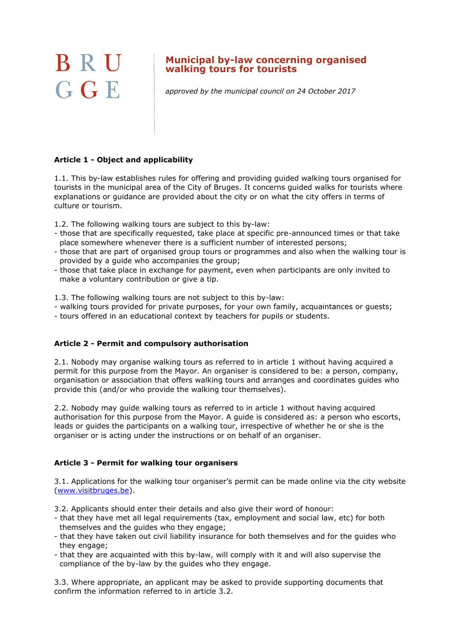# BRU GGE

## **Municipal by-law concerning organised walking tours for tourists**

approved by the municipal council on 24 October 2017

## **Article 1 - Object and applicability**

1.1. This by-law establishes rules for offering and providing guided walking tours organised for tourists in the municipal area of the City of Bruges. It concerns guided walks for tourists where explanations or guidance are provided about the city or on what the city offers in terms of culture or tourism.

1.2. The following walking tours are subject to this by-law:

- those that are specifically requested, take place at specific pre-announced times or that take place somewhere whenever there is a sufficient number of interested persons;
- those that are part of organised group tours or programmes and also when the walking tour is provided by a guide who accompanies the group;
- those that take place in exchange for payment, even when participants are only invited to make a voluntary contribution or give a tip.

1.3. The following walking tours are not subject to this by-law:

- walking tours provided for private purposes, for your own family, acquaintances or guests;
- tours offered in an educational context by teachers for pupils or students.

## **Article 2 - Permit and compulsory authorisation**

2.1. Nobody may organise walking tours as referred to in article 1 without having acquired a permit for this purpose from the Mayor. An organiser is considered to be: a person, company, organisation or association that offers walking tours and arranges and coordinates guides who provide this (and/or who provide the walking tour themselves).

2.2. Nobody may guide walking tours as referred to in article 1 without having acquired authorisation for this purpose from the Mayor. A guide is considered as: a person who escorts, leads or guides the participants on a walking tour, irrespective of whether he or she is the organiser or is acting under the instructions or on behalf of an organiser.

## **Article 3 - Permit for walking tour organisers**

3.1. Applications for the walking tour organiser's permit can be made online via the city website [\(www.visitbruges.be\)](http://www.visitbruges.be/).

- 3.2. Applicants should enter their details and also give their word of honour:
- that they have met all legal requirements (tax, employment and social law, etc) for both themselves and the guides who they engage;
- that they have taken out civil liability insurance for both themselves and for the guides who they engage;
- that they are acquainted with this by-law, will comply with it and will also supervise the compliance of the by-law by the guides who they engage.

3.3. Where appropriate, an applicant may be asked to provide supporting documents that confirm the information referred to in article 3.2.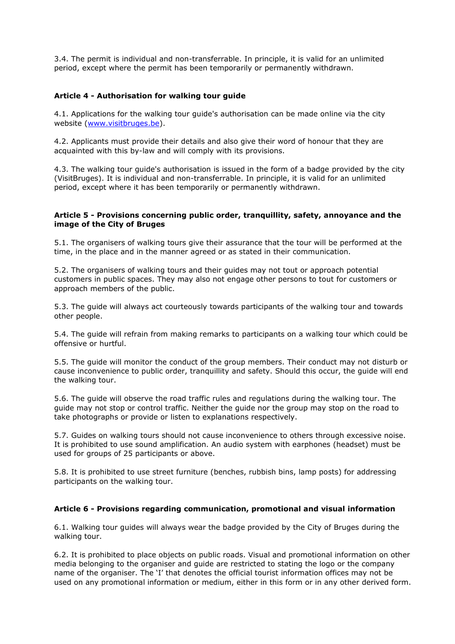3.4. The permit is individual and non-transferrable. In principle, it is valid for an unlimited period, except where the permit has been temporarily or permanently withdrawn.

#### **Article 4 - Authorisation for walking tour guide**

4.1. Applications for the walking tour guide's authorisation can be made online via the city website [\(www.visitbruges.be\)](http://www.visitbruges.be/).

4.2. Applicants must provide their details and also give their word of honour that they are acquainted with this by-law and will comply with its provisions.

4.3. The walking tour guide's authorisation is issued in the form of a badge provided by the city (VisitBruges). It is individual and non-transferrable. In principle, it is valid for an unlimited period, except where it has been temporarily or permanently withdrawn.

#### **Article 5 - Provisions concerning public order, tranquillity, safety, annoyance and the image of the City of Bruges**

5.1. The organisers of walking tours give their assurance that the tour will be performed at the time, in the place and in the manner agreed or as stated in their communication.

5.2. The organisers of walking tours and their guides may not tout or approach potential customers in public spaces. They may also not engage other persons to tout for customers or approach members of the public.

5.3. The guide will always act courteously towards participants of the walking tour and towards other people.

5.4. The guide will refrain from making remarks to participants on a walking tour which could be offensive or hurtful.

5.5. The guide will monitor the conduct of the group members. Their conduct may not disturb or cause inconvenience to public order, tranquillity and safety. Should this occur, the guide will end the walking tour.

5.6. The guide will observe the road traffic rules and regulations during the walking tour. The guide may not stop or control traffic. Neither the guide nor the group may stop on the road to take photographs or provide or listen to explanations respectively.

5.7. Guides on walking tours should not cause inconvenience to others through excessive noise. It is prohibited to use sound amplification. An audio system with earphones (headset) must be used for groups of 25 participants or above.

5.8. It is prohibited to use street furniture (benches, rubbish bins, lamp posts) for addressing participants on the walking tour.

#### **Article 6 - Provisions regarding communication, promotional and visual information**

6.1. Walking tour guides will always wear the badge provided by the City of Bruges during the walking tour.

6.2. It is prohibited to place objects on public roads. Visual and promotional information on other media belonging to the organiser and guide are restricted to stating the logo or the company name of the organiser. The 'I' that denotes the official tourist information offices may not be used on any promotional information or medium, either in this form or in any other derived form.